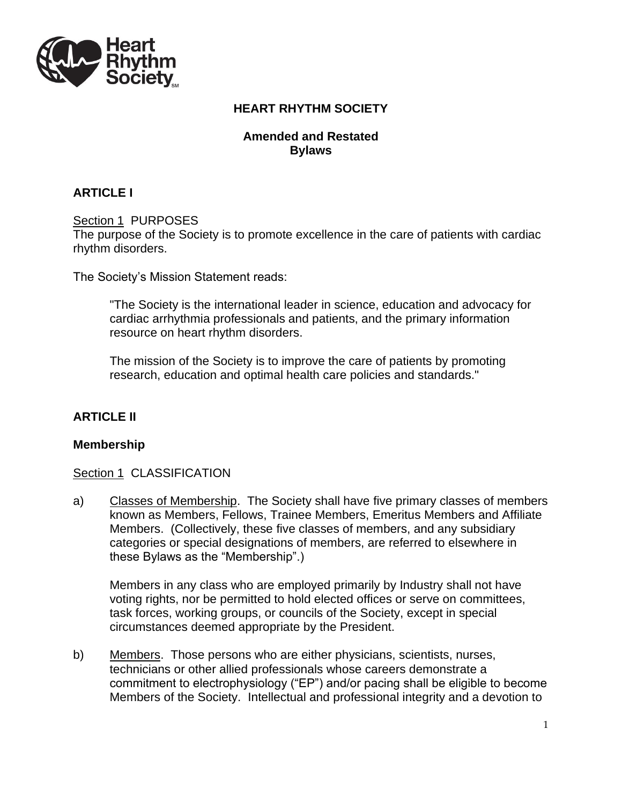

# **HEART RHYTHM SOCIETY**

### **Amended and Restated Bylaws**

# **ARTICLE I**

### Section 1 PURPOSES

The purpose of the Society is to promote excellence in the care of patients with cardiac rhythm disorders.

The Society's Mission Statement reads:

"The Society is the international leader in science, education and advocacy for cardiac arrhythmia professionals and patients, and the primary information resource on heart rhythm disorders.

The mission of the Society is to improve the care of patients by promoting research, education and optimal health care policies and standards."

# **ARTICLE II**

### **Membership**

### Section 1 CLASSIFICATION

a) Classes of Membership. The Society shall have five primary classes of members known as Members, Fellows, Trainee Members, Emeritus Members and Affiliate Members. (Collectively, these five classes of members, and any subsidiary categories or special designations of members, are referred to elsewhere in these Bylaws as the "Membership".)

Members in any class who are employed primarily by Industry shall not have voting rights, nor be permitted to hold elected offices or serve on committees, task forces, working groups, or councils of the Society, except in special circumstances deemed appropriate by the President.

b) Members. Those persons who are either physicians, scientists, nurses, technicians or other allied professionals whose careers demonstrate a commitment to electrophysiology ("EP") and/or pacing shall be eligible to become Members of the Society. Intellectual and professional integrity and a devotion to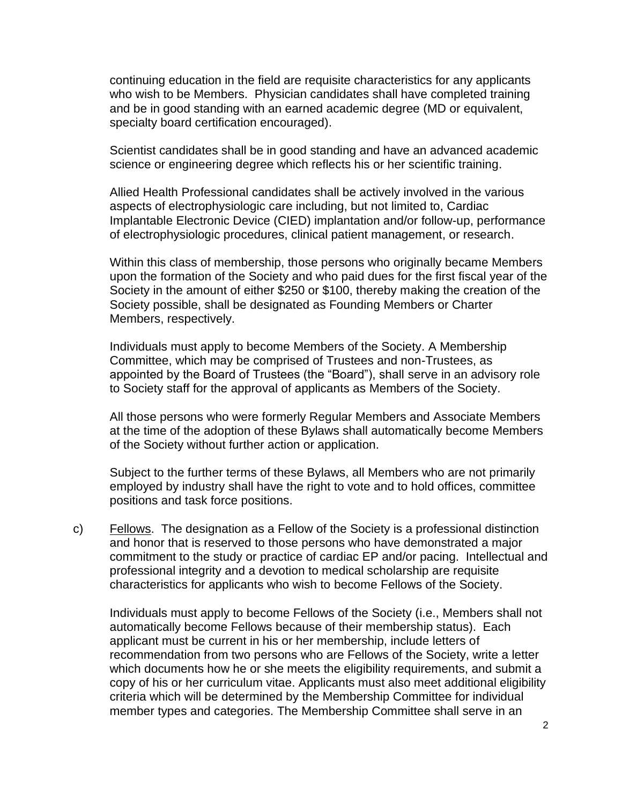continuing education in the field are requisite characteristics for any applicants who wish to be Members. Physician candidates shall have completed training and be in good standing with an earned academic degree (MD or equivalent, specialty board certification encouraged).

Scientist candidates shall be in good standing and have an advanced academic science or engineering degree which reflects his or her scientific training.

Allied Health Professional candidates shall be actively involved in the various aspects of electrophysiologic care including, but not limited to, Cardiac Implantable Electronic Device (CIED) implantation and/or follow-up, performance of electrophysiologic procedures, clinical patient management, or research.

Within this class of membership, those persons who originally became Members upon the formation of the Society and who paid dues for the first fiscal year of the Society in the amount of either \$250 or \$100, thereby making the creation of the Society possible, shall be designated as Founding Members or Charter Members, respectively.

Individuals must apply to become Members of the Society. A Membership Committee, which may be comprised of Trustees and non-Trustees, as appointed by the Board of Trustees (the "Board"), shall serve in an advisory role to Society staff for the approval of applicants as Members of the Society.

All those persons who were formerly Regular Members and Associate Members at the time of the adoption of these Bylaws shall automatically become Members of the Society without further action or application.

Subject to the further terms of these Bylaws, all Members who are not primarily employed by industry shall have the right to vote and to hold offices, committee positions and task force positions.

c) Eellows. The designation as a Fellow of the Society is a professional distinction and honor that is reserved to those persons who have demonstrated a major commitment to the study or practice of cardiac EP and/or pacing. Intellectual and professional integrity and a devotion to medical scholarship are requisite characteristics for applicants who wish to become Fellows of the Society.

Individuals must apply to become Fellows of the Society (i.e., Members shall not automatically become Fellows because of their membership status). Each applicant must be current in his or her membership, include letters of recommendation from two persons who are Fellows of the Society, write a letter which documents how he or she meets the eligibility requirements, and submit a copy of his or her curriculum vitae. Applicants must also meet additional eligibility criteria which will be determined by the Membership Committee for individual member types and categories. The Membership Committee shall serve in an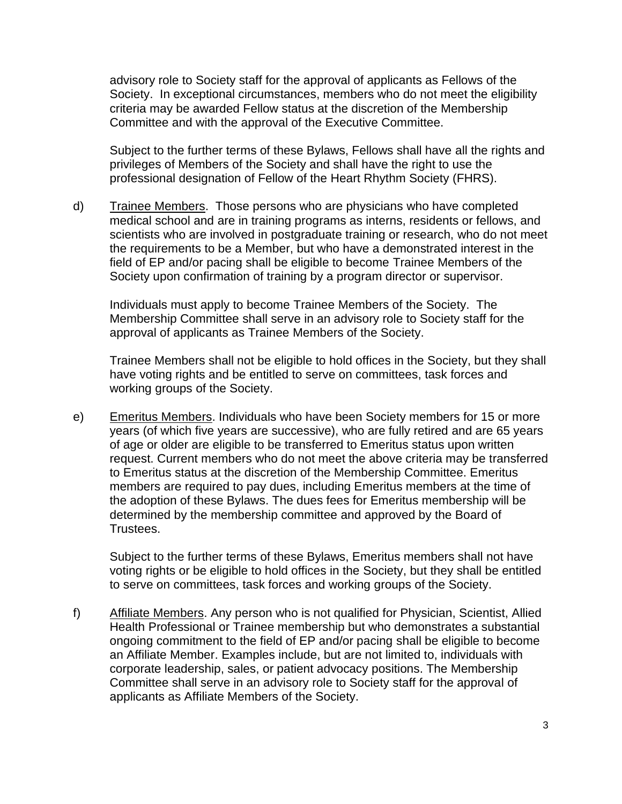advisory role to Society staff for the approval of applicants as Fellows of the Society. In exceptional circumstances, members who do not meet the eligibility criteria may be awarded Fellow status at the discretion of the Membership Committee and with the approval of the Executive Committee.

Subject to the further terms of these Bylaws, Fellows shall have all the rights and privileges of Members of the Society and shall have the right to use the professional designation of Fellow of the Heart Rhythm Society (FHRS).

d) Trainee Members. Those persons who are physicians who have completed medical school and are in training programs as interns, residents or fellows, and scientists who are involved in postgraduate training or research, who do not meet the requirements to be a Member, but who have a demonstrated interest in the field of EP and/or pacing shall be eligible to become Trainee Members of the Society upon confirmation of training by a program director or supervisor.

Individuals must apply to become Trainee Members of the Society. The Membership Committee shall serve in an advisory role to Society staff for the approval of applicants as Trainee Members of the Society.

Trainee Members shall not be eligible to hold offices in the Society, but they shall have voting rights and be entitled to serve on committees, task forces and working groups of the Society.

e) Emeritus Members. Individuals who have been Society members for 15 or more years (of which five years are successive), who are fully retired and are 65 years of age or older are eligible to be transferred to Emeritus status upon written request. Current members who do not meet the above criteria may be transferred to Emeritus status at the discretion of the Membership Committee. Emeritus members are required to pay dues, including Emeritus members at the time of the adoption of these Bylaws. The dues fees for Emeritus membership will be determined by the membership committee and approved by the Board of Trustees.

Subject to the further terms of these Bylaws, Emeritus members shall not have voting rights or be eligible to hold offices in the Society, but they shall be entitled to serve on committees, task forces and working groups of the Society.

f) Affiliate Members. Any person who is not qualified for Physician, Scientist, Allied Health Professional or Trainee membership but who demonstrates a substantial ongoing commitment to the field of EP and/or pacing shall be eligible to become an Affiliate Member. Examples include, but are not limited to, individuals with corporate leadership, sales, or patient advocacy positions. The Membership Committee shall serve in an advisory role to Society staff for the approval of applicants as Affiliate Members of the Society.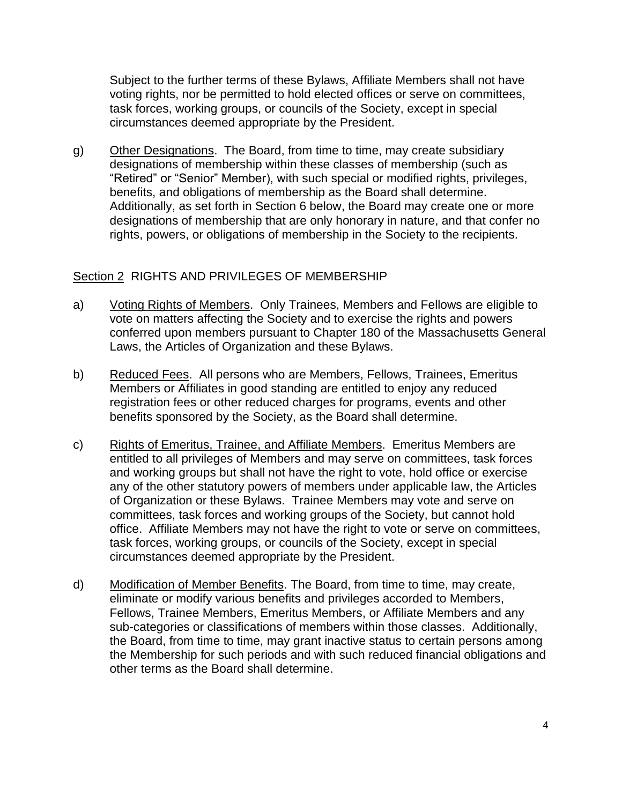Subject to the further terms of these Bylaws, Affiliate Members shall not have voting rights, nor be permitted to hold elected offices or serve on committees, task forces, working groups, or councils of the Society, except in special circumstances deemed appropriate by the President.

g) Other Designations. The Board, from time to time, may create subsidiary designations of membership within these classes of membership (such as "Retired" or "Senior" Member), with such special or modified rights, privileges, benefits, and obligations of membership as the Board shall determine. Additionally, as set forth in Section 6 below, the Board may create one or more designations of membership that are only honorary in nature, and that confer no rights, powers, or obligations of membership in the Society to the recipients.

### Section 2 RIGHTS AND PRIVILEGES OF MEMBERSHIP

- a) Voting Rights of Members. Only Trainees, Members and Fellows are eligible to vote on matters affecting the Society and to exercise the rights and powers conferred upon members pursuant to Chapter 180 of the Massachusetts General Laws, the Articles of Organization and these Bylaws.
- b) Reduced Fees. All persons who are Members, Fellows, Trainees, Emeritus Members or Affiliates in good standing are entitled to enjoy any reduced registration fees or other reduced charges for programs, events and other benefits sponsored by the Society, as the Board shall determine.
- c) Rights of Emeritus, Trainee, and Affiliate Members. Emeritus Members are entitled to all privileges of Members and may serve on committees, task forces and working groups but shall not have the right to vote, hold office or exercise any of the other statutory powers of members under applicable law, the Articles of Organization or these Bylaws. Trainee Members may vote and serve on committees, task forces and working groups of the Society, but cannot hold office. Affiliate Members may not have the right to vote or serve on committees, task forces, working groups, or councils of the Society, except in special circumstances deemed appropriate by the President.
- d) Modification of Member Benefits. The Board, from time to time, may create, eliminate or modify various benefits and privileges accorded to Members, Fellows, Trainee Members, Emeritus Members, or Affiliate Members and any sub-categories or classifications of members within those classes. Additionally, the Board, from time to time, may grant inactive status to certain persons among the Membership for such periods and with such reduced financial obligations and other terms as the Board shall determine.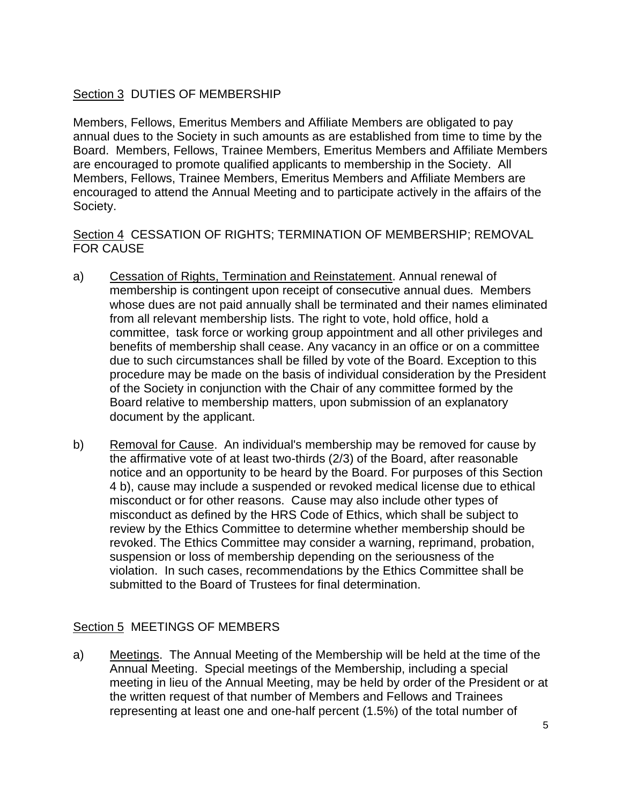# Section 3 DUTIES OF MEMBERSHIP

Members, Fellows, Emeritus Members and Affiliate Members are obligated to pay annual dues to the Society in such amounts as are established from time to time by the Board. Members, Fellows, Trainee Members, Emeritus Members and Affiliate Members are encouraged to promote qualified applicants to membership in the Society. All Members, Fellows, Trainee Members, Emeritus Members and Affiliate Members are encouraged to attend the Annual Meeting and to participate actively in the affairs of the Society.

### Section 4 CESSATION OF RIGHTS; TERMINATION OF MEMBERSHIP; REMOVAL FOR CAUSE

- a) Cessation of Rights, Termination and Reinstatement. Annual renewal of membership is contingent upon receipt of consecutive annual dues. Members whose dues are not paid annually shall be terminated and their names eliminated from all relevant membership lists. The right to vote, hold office, hold a committee, task force or working group appointment and all other privileges and benefits of membership shall cease. Any vacancy in an office or on a committee due to such circumstances shall be filled by vote of the Board. Exception to this procedure may be made on the basis of individual consideration by the President of the Society in conjunction with the Chair of any committee formed by the Board relative to membership matters, upon submission of an explanatory document by the applicant.
- b) Removal for Cause. An individual's membership may be removed for cause by the affirmative vote of at least two-thirds (2/3) of the Board, after reasonable notice and an opportunity to be heard by the Board. For purposes of this Section 4 b), cause may include a suspended or revoked medical license due to ethical misconduct or for other reasons. Cause may also include other types of misconduct as defined by the HRS Code of Ethics, which shall be subject to review by the Ethics Committee to determine whether membership should be revoked. The Ethics Committee may consider a warning, reprimand, probation, suspension or loss of membership depending on the seriousness of the violation. In such cases, recommendations by the Ethics Committee shall be submitted to the Board of Trustees for final determination.

# Section 5 MEETINGS OF MEMBERS

a) Meetings. The Annual Meeting of the Membership will be held at the time of the Annual Meeting. Special meetings of the Membership, including a special meeting in lieu of the Annual Meeting, may be held by order of the President or at the written request of that number of Members and Fellows and Trainees representing at least one and one-half percent (1.5%) of the total number of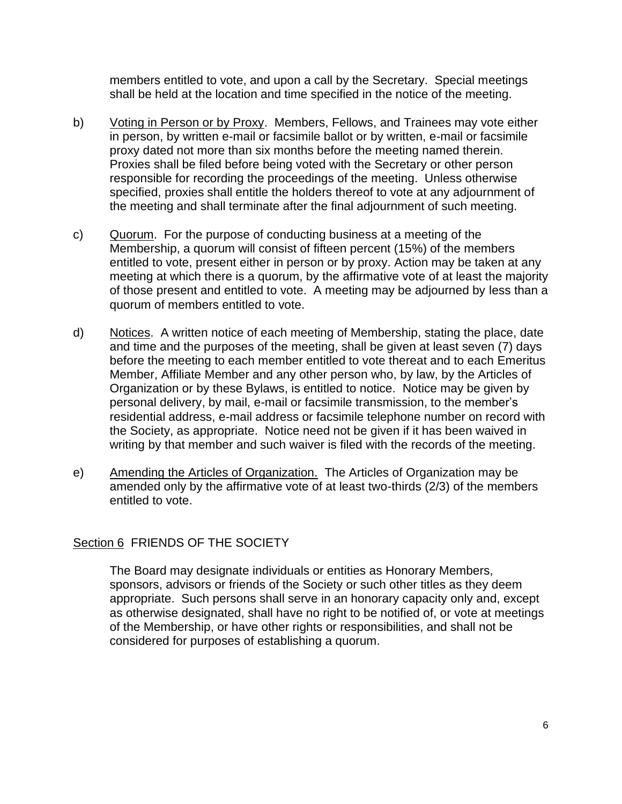members entitled to vote, and upon a call by the Secretary. Special meetings shall be held at the location and time specified in the notice of the meeting.

- b) Voting in Person or by Proxy. Members, Fellows, and Trainees may vote either in person, by written e-mail or facsimile ballot or by written, e-mail or facsimile proxy dated not more than six months before the meeting named therein. Proxies shall be filed before being voted with the Secretary or other person responsible for recording the proceedings of the meeting. Unless otherwise specified, proxies shall entitle the holders thereof to vote at any adjournment of the meeting and shall terminate after the final adjournment of such meeting.
- c) Quorum. For the purpose of conducting business at a meeting of the Membership, a quorum will consist of fifteen percent (15%) of the members entitled to vote, present either in person or by proxy. Action may be taken at any meeting at which there is a quorum, by the affirmative vote of at least the majority of those present and entitled to vote. A meeting may be adjourned by less than a quorum of members entitled to vote.
- d) Notices. A written notice of each meeting of Membership, stating the place, date and time and the purposes of the meeting, shall be given at least seven (7) days before the meeting to each member entitled to vote thereat and to each Emeritus Member, Affiliate Member and any other person who, by law, by the Articles of Organization or by these Bylaws, is entitled to notice. Notice may be given by personal delivery, by mail, e-mail or facsimile transmission, to the member's residential address, e-mail address or facsimile telephone number on record with the Society, as appropriate. Notice need not be given if it has been waived in writing by that member and such waiver is filed with the records of the meeting.
- e) Amending the Articles of Organization. The Articles of Organization may be amended only by the affirmative vote of at least two-thirds (2/3) of the members entitled to vote.

# Section 6 FRIENDS OF THE SOCIETY

The Board may designate individuals or entities as Honorary Members, sponsors, advisors or friends of the Society or such other titles as they deem appropriate. Such persons shall serve in an honorary capacity only and, except as otherwise designated, shall have no right to be notified of, or vote at meetings of the Membership, or have other rights or responsibilities, and shall not be considered for purposes of establishing a quorum.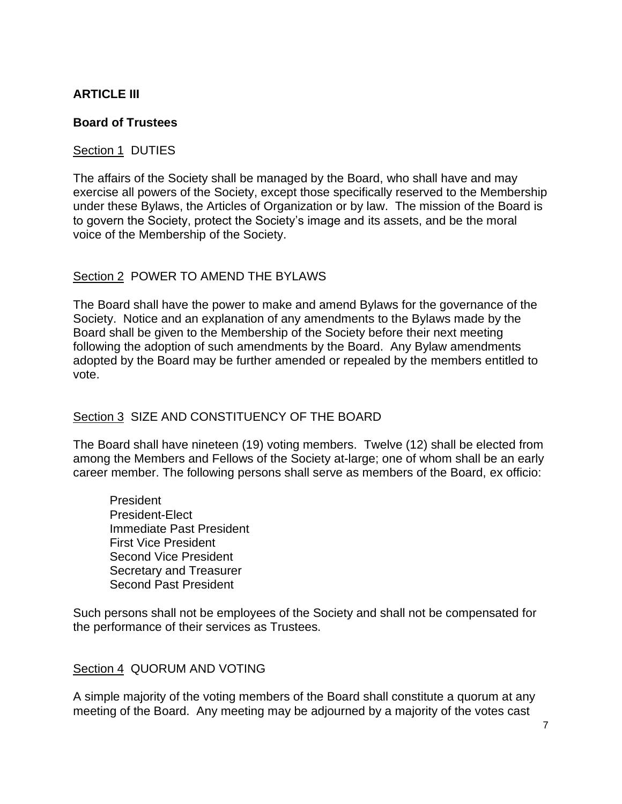# **ARTICLE III**

### **Board of Trustees**

### Section 1 DUTIES

The affairs of the Society shall be managed by the Board, who shall have and may exercise all powers of the Society, except those specifically reserved to the Membership under these Bylaws, the Articles of Organization or by law. The mission of the Board is to govern the Society, protect the Society's image and its assets, and be the moral voice of the Membership of the Society.

# Section 2 POWER TO AMEND THE BYLAWS

The Board shall have the power to make and amend Bylaws for the governance of the Society. Notice and an explanation of any amendments to the Bylaws made by the Board shall be given to the Membership of the Society before their next meeting following the adoption of such amendments by the Board. Any Bylaw amendments adopted by the Board may be further amended or repealed by the members entitled to vote.

### Section 3 SIZE AND CONSTITUENCY OF THE BOARD

The Board shall have nineteen (19) voting members. Twelve (12) shall be elected from among the Members and Fellows of the Society at-large; one of whom shall be an early career member. The following persons shall serve as members of the Board, ex officio:

President President-Elect Immediate Past President First Vice President Second Vice President Secretary and Treasurer Second Past President

Such persons shall not be employees of the Society and shall not be compensated for the performance of their services as Trustees.

### Section 4 QUORUM AND VOTING

A simple majority of the voting members of the Board shall constitute a quorum at any meeting of the Board. Any meeting may be adjourned by a majority of the votes cast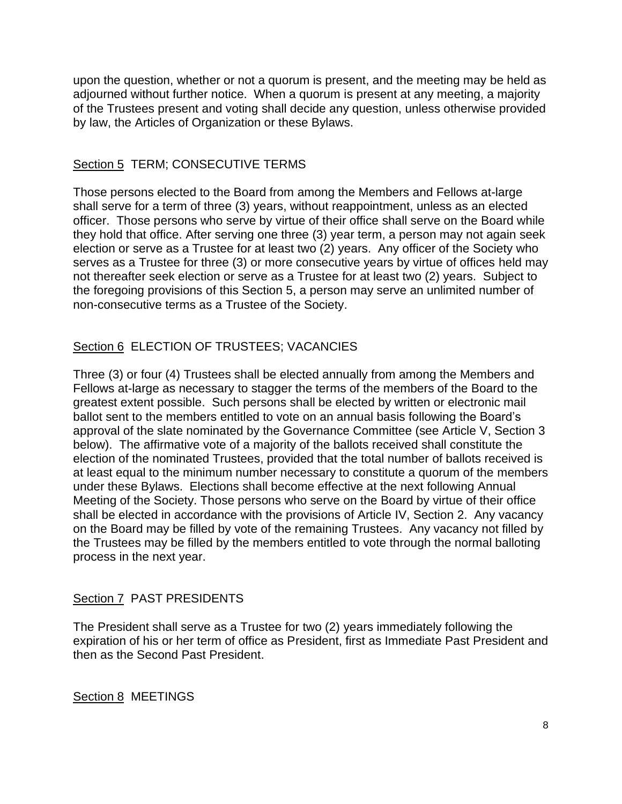upon the question, whether or not a quorum is present, and the meeting may be held as adjourned without further notice. When a quorum is present at any meeting, a majority of the Trustees present and voting shall decide any question, unless otherwise provided by law, the Articles of Organization or these Bylaws.

### Section 5 TERM; CONSECUTIVE TERMS

Those persons elected to the Board from among the Members and Fellows at-large shall serve for a term of three (3) years, without reappointment, unless as an elected officer. Those persons who serve by virtue of their office shall serve on the Board while they hold that office. After serving one three (3) year term, a person may not again seek election or serve as a Trustee for at least two (2) years. Any officer of the Society who serves as a Trustee for three (3) or more consecutive years by virtue of offices held may not thereafter seek election or serve as a Trustee for at least two (2) years. Subject to the foregoing provisions of this Section 5, a person may serve an unlimited number of non-consecutive terms as a Trustee of the Society.

### Section 6 ELECTION OF TRUSTEES; VACANCIES

Three (3) or four (4) Trustees shall be elected annually from among the Members and Fellows at-large as necessary to stagger the terms of the members of the Board to the greatest extent possible. Such persons shall be elected by written or electronic mail ballot sent to the members entitled to vote on an annual basis following the Board's approval of the slate nominated by the Governance Committee (see Article V, Section 3 below). The affirmative vote of a majority of the ballots received shall constitute the election of the nominated Trustees, provided that the total number of ballots received is at least equal to the minimum number necessary to constitute a quorum of the members under these Bylaws. Elections shall become effective at the next following Annual Meeting of the Society. Those persons who serve on the Board by virtue of their office shall be elected in accordance with the provisions of Article IV, Section 2. Any vacancy on the Board may be filled by vote of the remaining Trustees. Any vacancy not filled by the Trustees may be filled by the members entitled to vote through the normal balloting process in the next year.

### Section 7 PAST PRESIDENTS

The President shall serve as a Trustee for two (2) years immediately following the expiration of his or her term of office as President, first as Immediate Past President and then as the Second Past President.

Section 8 MEETINGS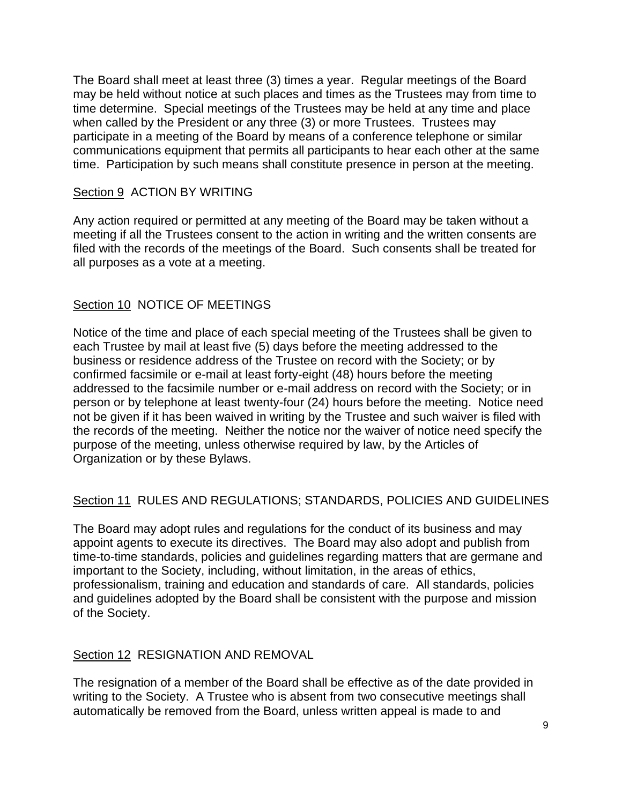The Board shall meet at least three (3) times a year. Regular meetings of the Board may be held without notice at such places and times as the Trustees may from time to time determine. Special meetings of the Trustees may be held at any time and place when called by the President or any three (3) or more Trustees. Trustees may participate in a meeting of the Board by means of a conference telephone or similar communications equipment that permits all participants to hear each other at the same time. Participation by such means shall constitute presence in person at the meeting.

### Section 9 ACTION BY WRITING

Any action required or permitted at any meeting of the Board may be taken without a meeting if all the Trustees consent to the action in writing and the written consents are filed with the records of the meetings of the Board. Such consents shall be treated for all purposes as a vote at a meeting.

### Section 10 NOTICE OF MEETINGS

Notice of the time and place of each special meeting of the Trustees shall be given to each Trustee by mail at least five (5) days before the meeting addressed to the business or residence address of the Trustee on record with the Society; or by confirmed facsimile or e-mail at least forty-eight (48) hours before the meeting addressed to the facsimile number or e-mail address on record with the Society; or in person or by telephone at least twenty-four (24) hours before the meeting. Notice need not be given if it has been waived in writing by the Trustee and such waiver is filed with the records of the meeting. Neither the notice nor the waiver of notice need specify the purpose of the meeting, unless otherwise required by law, by the Articles of Organization or by these Bylaws.

# Section 11 RULES AND REGULATIONS; STANDARDS, POLICIES AND GUIDELINES

The Board may adopt rules and regulations for the conduct of its business and may appoint agents to execute its directives. The Board may also adopt and publish from time-to-time standards, policies and guidelines regarding matters that are germane and important to the Society, including, without limitation, in the areas of ethics, professionalism, training and education and standards of care. All standards, policies and guidelines adopted by the Board shall be consistent with the purpose and mission of the Society.

### Section 12 RESIGNATION AND REMOVAL

The resignation of a member of the Board shall be effective as of the date provided in writing to the Society. A Trustee who is absent from two consecutive meetings shall automatically be removed from the Board, unless written appeal is made to and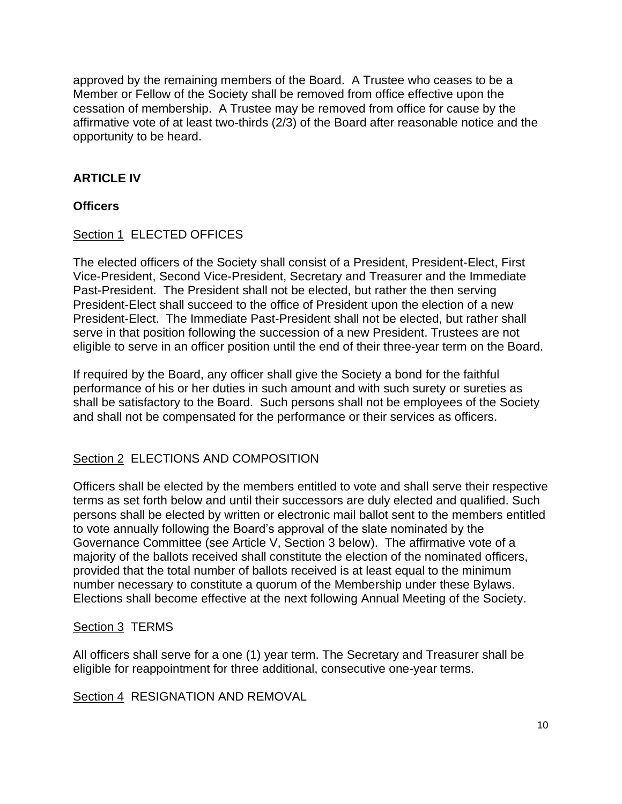approved by the remaining members of the Board. A Trustee who ceases to be a Member or Fellow of the Society shall be removed from office effective upon the cessation of membership. A Trustee may be removed from office for cause by the affirmative vote of at least two-thirds (2/3) of the Board after reasonable notice and the opportunity to be heard.

# **ARTICLE IV**

### **Officers**

Section 1 ELECTED OFFICES

The elected officers of the Society shall consist of a President, President-Elect, First Vice-President, Second Vice-President, Secretary and Treasurer and the Immediate Past-President. The President shall not be elected, but rather the then serving President-Elect shall succeed to the office of President upon the election of a new President-Elect. The Immediate Past-President shall not be elected, but rather shall serve in that position following the succession of a new President. Trustees are not eligible to serve in an officer position until the end of their three-year term on the Board.

If required by the Board, any officer shall give the Society a bond for the faithful performance of his or her duties in such amount and with such surety or sureties as shall be satisfactory to the Board. Such persons shall not be employees of the Society and shall not be compensated for the performance or their services as officers.

# Section 2 ELECTIONS AND COMPOSITION

Officers shall be elected by the members entitled to vote and shall serve their respective terms as set forth below and until their successors are duly elected and qualified. Such persons shall be elected by written or electronic mail ballot sent to the members entitled to vote annually following the Board's approval of the slate nominated by the Governance Committee (see Article V, Section 3 below). The affirmative vote of a majority of the ballots received shall constitute the election of the nominated officers, provided that the total number of ballots received is at least equal to the minimum number necessary to constitute a quorum of the Membership under these Bylaws. Elections shall become effective at the next following Annual Meeting of the Society.

### Section 3 TERMS

All officers shall serve for a one (1) year term. The Secretary and Treasurer shall be eligible for reappointment for three additional, consecutive one-year terms.

Section 4 RESIGNATION AND REMOVAL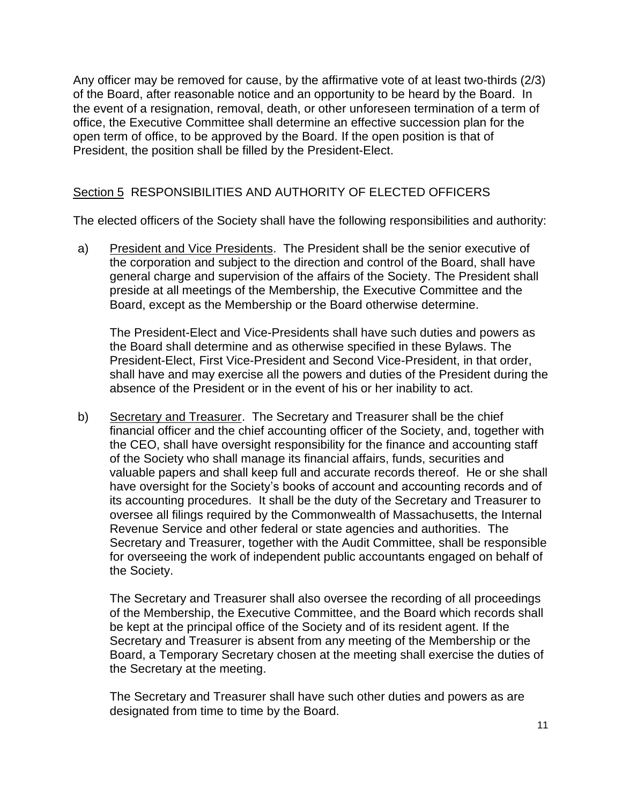Any officer may be removed for cause, by the affirmative vote of at least two-thirds (2/3) of the Board, after reasonable notice and an opportunity to be heard by the Board. In the event of a resignation, removal, death, or other unforeseen termination of a term of office, the Executive Committee shall determine an effective succession plan for the open term of office, to be approved by the Board. If the open position is that of President, the position shall be filled by the President-Elect.

# Section 5 RESPONSIBILITIES AND AUTHORITY OF ELECTED OFFICERS

The elected officers of the Society shall have the following responsibilities and authority:

a) President and Vice Presidents. The President shall be the senior executive of the corporation and subject to the direction and control of the Board, shall have general charge and supervision of the affairs of the Society. The President shall preside at all meetings of the Membership, the Executive Committee and the Board, except as the Membership or the Board otherwise determine.

The President-Elect and Vice-Presidents shall have such duties and powers as the Board shall determine and as otherwise specified in these Bylaws. The President-Elect, First Vice-President and Second Vice-President, in that order, shall have and may exercise all the powers and duties of the President during the absence of the President or in the event of his or her inability to act.

b) Secretary and Treasurer. The Secretary and Treasurer shall be the chief financial officer and the chief accounting officer of the Society, and, together with the CEO, shall have oversight responsibility for the finance and accounting staff of the Society who shall manage its financial affairs, funds, securities and valuable papers and shall keep full and accurate records thereof. He or she shall have oversight for the Society's books of account and accounting records and of its accounting procedures. It shall be the duty of the Secretary and Treasurer to oversee all filings required by the Commonwealth of Massachusetts, the Internal Revenue Service and other federal or state agencies and authorities. The Secretary and Treasurer, together with the Audit Committee, shall be responsible for overseeing the work of independent public accountants engaged on behalf of the Society.

The Secretary and Treasurer shall also oversee the recording of all proceedings of the Membership, the Executive Committee, and the Board which records shall be kept at the principal office of the Society and of its resident agent. If the Secretary and Treasurer is absent from any meeting of the Membership or the Board, a Temporary Secretary chosen at the meeting shall exercise the duties of the Secretary at the meeting.

The Secretary and Treasurer shall have such other duties and powers as are designated from time to time by the Board.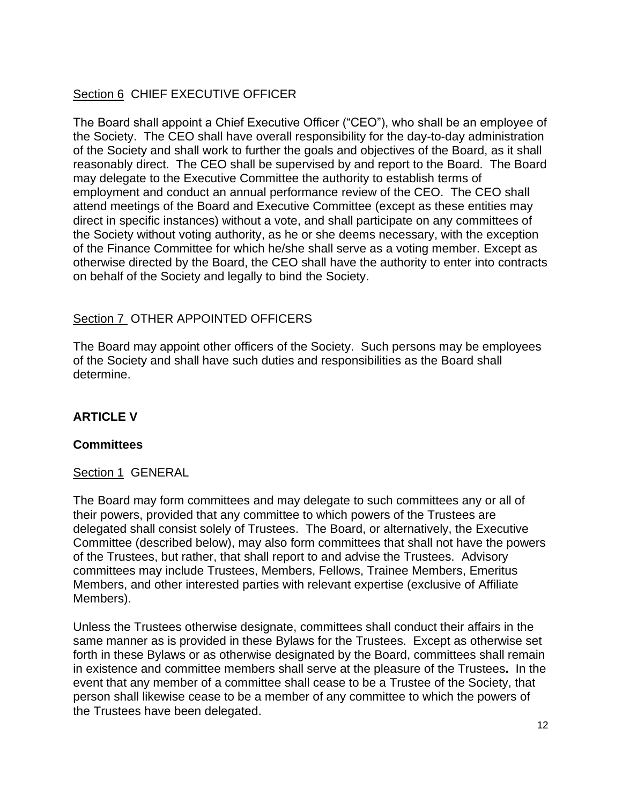# Section 6 CHIEF EXECUTIVE OFFICER

The Board shall appoint a Chief Executive Officer ("CEO"), who shall be an employee of the Society. The CEO shall have overall responsibility for the day-to-day administration of the Society and shall work to further the goals and objectives of the Board, as it shall reasonably direct. The CEO shall be supervised by and report to the Board. The Board may delegate to the Executive Committee the authority to establish terms of employment and conduct an annual performance review of the CEO. The CEO shall attend meetings of the Board and Executive Committee (except as these entities may direct in specific instances) without a vote, and shall participate on any committees of the Society without voting authority, as he or she deems necessary, with the exception of the Finance Committee for which he/she shall serve as a voting member. Except as otherwise directed by the Board, the CEO shall have the authority to enter into contracts on behalf of the Society and legally to bind the Society.

# Section 7 OTHER APPOINTED OFFICERS

The Board may appoint other officers of the Society. Such persons may be employees of the Society and shall have such duties and responsibilities as the Board shall determine.

# **ARTICLE V**

### **Committees**

### Section 1 GENERAL

The Board may form committees and may delegate to such committees any or all of their powers, provided that any committee to which powers of the Trustees are delegated shall consist solely of Trustees. The Board, or alternatively, the Executive Committee (described below), may also form committees that shall not have the powers of the Trustees, but rather, that shall report to and advise the Trustees. Advisory committees may include Trustees, Members, Fellows, Trainee Members, Emeritus Members, and other interested parties with relevant expertise (exclusive of Affiliate Members).

Unless the Trustees otherwise designate, committees shall conduct their affairs in the same manner as is provided in these Bylaws for the Trustees. Except as otherwise set forth in these Bylaws or as otherwise designated by the Board, committees shall remain in existence and committee members shall serve at the pleasure of the Trustees**.** In the event that any member of a committee shall cease to be a Trustee of the Society, that person shall likewise cease to be a member of any committee to which the powers of the Trustees have been delegated.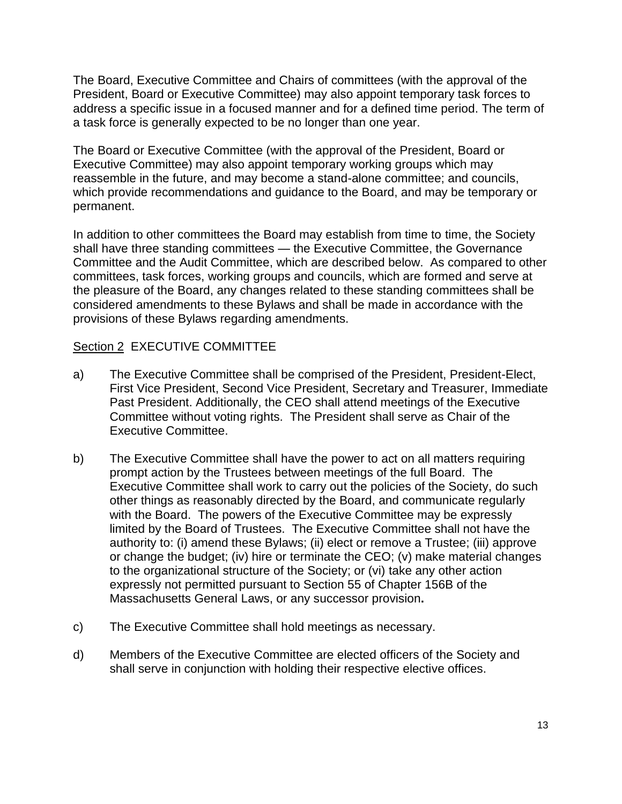The Board, Executive Committee and Chairs of committees (with the approval of the President, Board or Executive Committee) may also appoint temporary task forces to address a specific issue in a focused manner and for a defined time period. The term of a task force is generally expected to be no longer than one year.

The Board or Executive Committee (with the approval of the President, Board or Executive Committee) may also appoint temporary working groups which may reassemble in the future, and may become a stand-alone committee; and councils, which provide recommendations and guidance to the Board, and may be temporary or permanent.

In addition to other committees the Board may establish from time to time, the Society shall have three standing committees — the Executive Committee, the Governance Committee and the Audit Committee, which are described below. As compared to other committees, task forces, working groups and councils, which are formed and serve at the pleasure of the Board, any changes related to these standing committees shall be considered amendments to these Bylaws and shall be made in accordance with the provisions of these Bylaws regarding amendments.

### Section 2 EXECUTIVE COMMITTEE

- a) The Executive Committee shall be comprised of the President, President-Elect, First Vice President, Second Vice President, Secretary and Treasurer, Immediate Past President. Additionally, the CEO shall attend meetings of the Executive Committee without voting rights. The President shall serve as Chair of the Executive Committee.
- b) The Executive Committee shall have the power to act on all matters requiring prompt action by the Trustees between meetings of the full Board. The Executive Committee shall work to carry out the policies of the Society, do such other things as reasonably directed by the Board, and communicate regularly with the Board. The powers of the Executive Committee may be expressly limited by the Board of Trustees. The Executive Committee shall not have the authority to: (i) amend these Bylaws; (ii) elect or remove a Trustee; (iii) approve or change the budget; (iv) hire or terminate the CEO; (v) make material changes to the organizational structure of the Society; or (vi) take any other action expressly not permitted pursuant to Section 55 of Chapter 156B of the Massachusetts General Laws, or any successor provision**.**
- c) The Executive Committee shall hold meetings as necessary.
- d) Members of the Executive Committee are elected officers of the Society and shall serve in conjunction with holding their respective elective offices.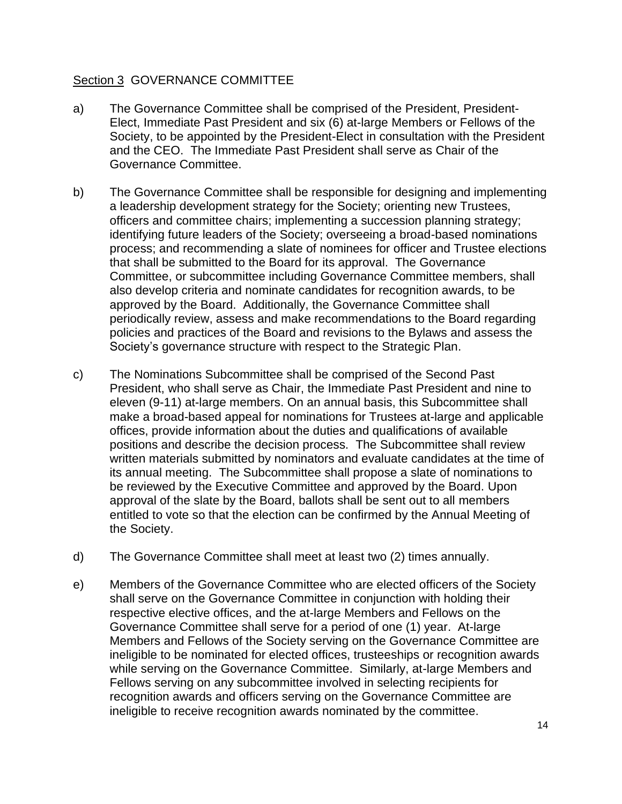### Section 3 GOVERNANCE COMMITTEE

- a) The Governance Committee shall be comprised of the President, President-Elect, Immediate Past President and six (6) at-large Members or Fellows of the Society, to be appointed by the President-Elect in consultation with the President and the CEO. The Immediate Past President shall serve as Chair of the Governance Committee.
- b) The Governance Committee shall be responsible for designing and implementing a leadership development strategy for the Society; orienting new Trustees, officers and committee chairs; implementing a succession planning strategy; identifying future leaders of the Society; overseeing a broad-based nominations process; and recommending a slate of nominees for officer and Trustee elections that shall be submitted to the Board for its approval. The Governance Committee, or subcommittee including Governance Committee members, shall also develop criteria and nominate candidates for recognition awards, to be approved by the Board. Additionally, the Governance Committee shall periodically review, assess and make recommendations to the Board regarding policies and practices of the Board and revisions to the Bylaws and assess the Society's governance structure with respect to the Strategic Plan.
- c) The Nominations Subcommittee shall be comprised of the Second Past President, who shall serve as Chair, the Immediate Past President and nine to eleven (9-11) at-large members. On an annual basis, this Subcommittee shall make a broad-based appeal for nominations for Trustees at-large and applicable offices, provide information about the duties and qualifications of available positions and describe the decision process. The Subcommittee shall review written materials submitted by nominators and evaluate candidates at the time of its annual meeting. The Subcommittee shall propose a slate of nominations to be reviewed by the Executive Committee and approved by the Board. Upon approval of the slate by the Board, ballots shall be sent out to all members entitled to vote so that the election can be confirmed by the Annual Meeting of the Society.
- d) The Governance Committee shall meet at least two (2) times annually.
- e) Members of the Governance Committee who are elected officers of the Society shall serve on the Governance Committee in conjunction with holding their respective elective offices, and the at-large Members and Fellows on the Governance Committee shall serve for a period of one (1) year. At-large Members and Fellows of the Society serving on the Governance Committee are ineligible to be nominated for elected offices, trusteeships or recognition awards while serving on the Governance Committee. Similarly, at-large Members and Fellows serving on any subcommittee involved in selecting recipients for recognition awards and officers serving on the Governance Committee are ineligible to receive recognition awards nominated by the committee.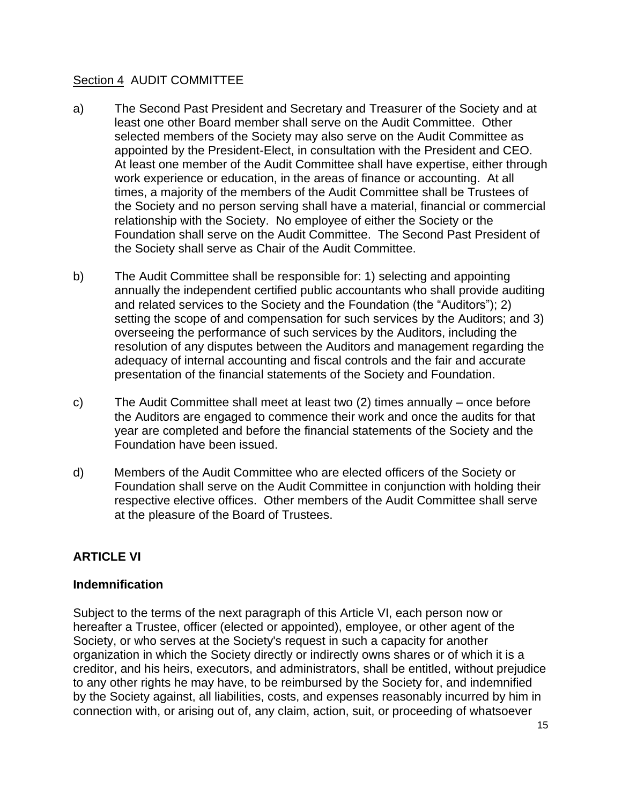### Section 4 AUDIT COMMITTEE

- a) The Second Past President and Secretary and Treasurer of the Society and at least one other Board member shall serve on the Audit Committee. Other selected members of the Society may also serve on the Audit Committee as appointed by the President-Elect, in consultation with the President and CEO. At least one member of the Audit Committee shall have expertise, either through work experience or education, in the areas of finance or accounting. At all times, a majority of the members of the Audit Committee shall be Trustees of the Society and no person serving shall have a material, financial or commercial relationship with the Society. No employee of either the Society or the Foundation shall serve on the Audit Committee. The Second Past President of the Society shall serve as Chair of the Audit Committee.
- b) The Audit Committee shall be responsible for: 1) selecting and appointing annually the independent certified public accountants who shall provide auditing and related services to the Society and the Foundation (the "Auditors"); 2) setting the scope of and compensation for such services by the Auditors; and 3) overseeing the performance of such services by the Auditors, including the resolution of any disputes between the Auditors and management regarding the adequacy of internal accounting and fiscal controls and the fair and accurate presentation of the financial statements of the Society and Foundation.
- c) The Audit Committee shall meet at least two (2) times annually once before the Auditors are engaged to commence their work and once the audits for that year are completed and before the financial statements of the Society and the Foundation have been issued.
- d) Members of the Audit Committee who are elected officers of the Society or Foundation shall serve on the Audit Committee in conjunction with holding their respective elective offices. Other members of the Audit Committee shall serve at the pleasure of the Board of Trustees.

# **ARTICLE VI**

# **Indemnification**

Subject to the terms of the next paragraph of this Article VI, each person now or hereafter a Trustee, officer (elected or appointed), employee, or other agent of the Society, or who serves at the Society's request in such a capacity for another organization in which the Society directly or indirectly owns shares or of which it is a creditor, and his heirs, executors, and administrators, shall be entitled, without prejudice to any other rights he may have, to be reimbursed by the Society for, and indemnified by the Society against, all liabilities, costs, and expenses reasonably incurred by him in connection with, or arising out of, any claim, action, suit, or proceeding of whatsoever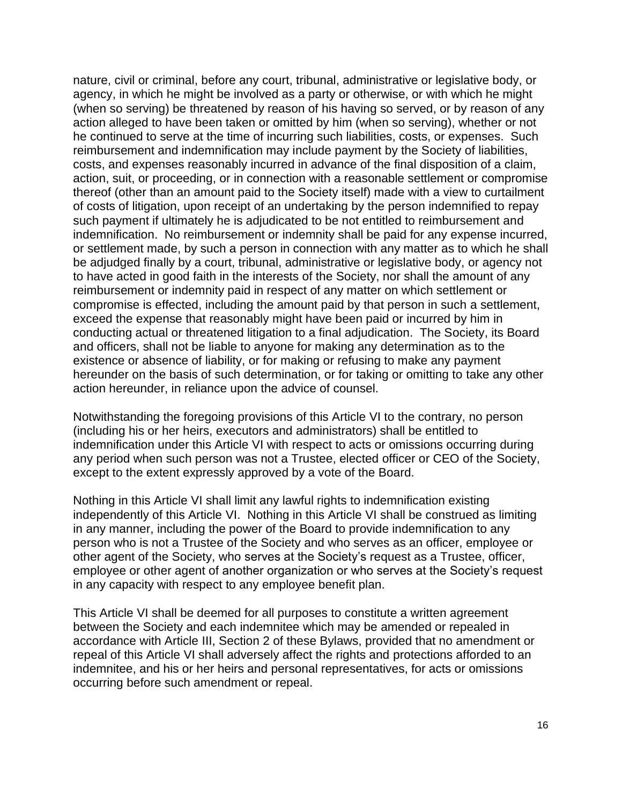nature, civil or criminal, before any court, tribunal, administrative or legislative body, or agency, in which he might be involved as a party or otherwise, or with which he might (when so serving) be threatened by reason of his having so served, or by reason of any action alleged to have been taken or omitted by him (when so serving), whether or not he continued to serve at the time of incurring such liabilities, costs, or expenses. Such reimbursement and indemnification may include payment by the Society of liabilities, costs, and expenses reasonably incurred in advance of the final disposition of a claim, action, suit, or proceeding, or in connection with a reasonable settlement or compromise thereof (other than an amount paid to the Society itself) made with a view to curtailment of costs of litigation, upon receipt of an undertaking by the person indemnified to repay such payment if ultimately he is adjudicated to be not entitled to reimbursement and indemnification. No reimbursement or indemnity shall be paid for any expense incurred, or settlement made, by such a person in connection with any matter as to which he shall be adjudged finally by a court, tribunal, administrative or legislative body, or agency not to have acted in good faith in the interests of the Society, nor shall the amount of any reimbursement or indemnity paid in respect of any matter on which settlement or compromise is effected, including the amount paid by that person in such a settlement, exceed the expense that reasonably might have been paid or incurred by him in conducting actual or threatened litigation to a final adjudication. The Society, its Board and officers, shall not be liable to anyone for making any determination as to the existence or absence of liability, or for making or refusing to make any payment hereunder on the basis of such determination, or for taking or omitting to take any other action hereunder, in reliance upon the advice of counsel.

Notwithstanding the foregoing provisions of this Article VI to the contrary, no person (including his or her heirs, executors and administrators) shall be entitled to indemnification under this Article VI with respect to acts or omissions occurring during any period when such person was not a Trustee, elected officer or CEO of the Society, except to the extent expressly approved by a vote of the Board.

Nothing in this Article VI shall limit any lawful rights to indemnification existing independently of this Article VI. Nothing in this Article VI shall be construed as limiting in any manner, including the power of the Board to provide indemnification to any person who is not a Trustee of the Society and who serves as an officer, employee or other agent of the Society, who serves at the Society's request as a Trustee, officer, employee or other agent of another organization or who serves at the Society's request in any capacity with respect to any employee benefit plan.

This Article VI shall be deemed for all purposes to constitute a written agreement between the Society and each indemnitee which may be amended or repealed in accordance with Article III, Section 2 of these Bylaws, provided that no amendment or repeal of this Article VI shall adversely affect the rights and protections afforded to an indemnitee, and his or her heirs and personal representatives, for acts or omissions occurring before such amendment or repeal.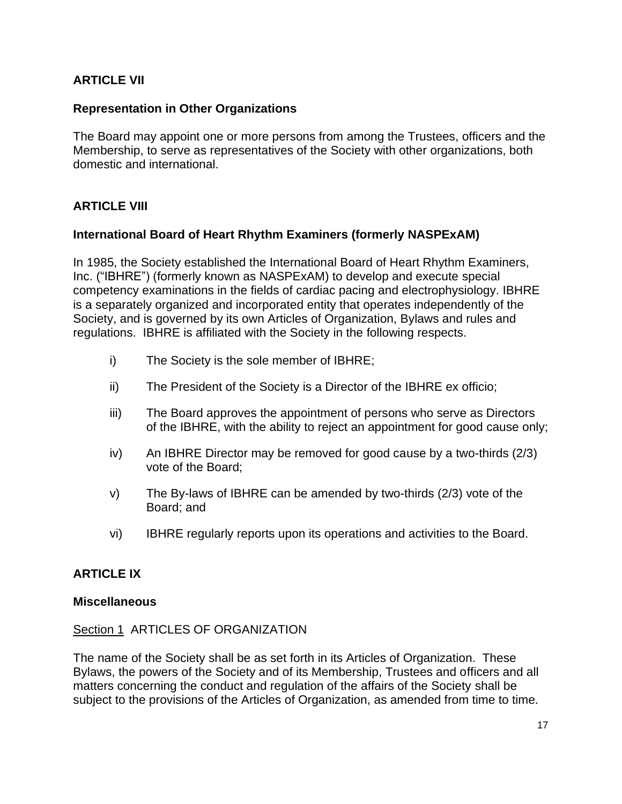# **ARTICLE VII**

### **Representation in Other Organizations**

The Board may appoint one or more persons from among the Trustees, officers and the Membership, to serve as representatives of the Society with other organizations, both domestic and international.

### **ARTICLE VIII**

#### **International Board of Heart Rhythm Examiners (formerly NASPExAM)**

In 1985, the Society established the International Board of Heart Rhythm Examiners, Inc. ("IBHRE") (formerly known as NASPExAM) to develop and execute special competency examinations in the fields of cardiac pacing and electrophysiology. IBHRE is a separately organized and incorporated entity that operates independently of the Society, and is governed by its own Articles of Organization, Bylaws and rules and regulations. IBHRE is affiliated with the Society in the following respects.

- i) The Society is the sole member of IBHRE;
- ii) The President of the Society is a Director of the IBHRE ex officio;
- iii) The Board approves the appointment of persons who serve as Directors of the IBHRE, with the ability to reject an appointment for good cause only;
- iv) An IBHRE Director may be removed for good cause by a two-thirds (2/3) vote of the Board;
- v) The By-laws of IBHRE can be amended by two-thirds (2/3) vote of the Board; and
- vi) IBHRE regularly reports upon its operations and activities to the Board.

### **ARTICLE IX**

#### **Miscellaneous**

#### Section 1 ARTICLES OF ORGANIZATION

The name of the Society shall be as set forth in its Articles of Organization. These Bylaws, the powers of the Society and of its Membership, Trustees and officers and all matters concerning the conduct and regulation of the affairs of the Society shall be subject to the provisions of the Articles of Organization, as amended from time to time.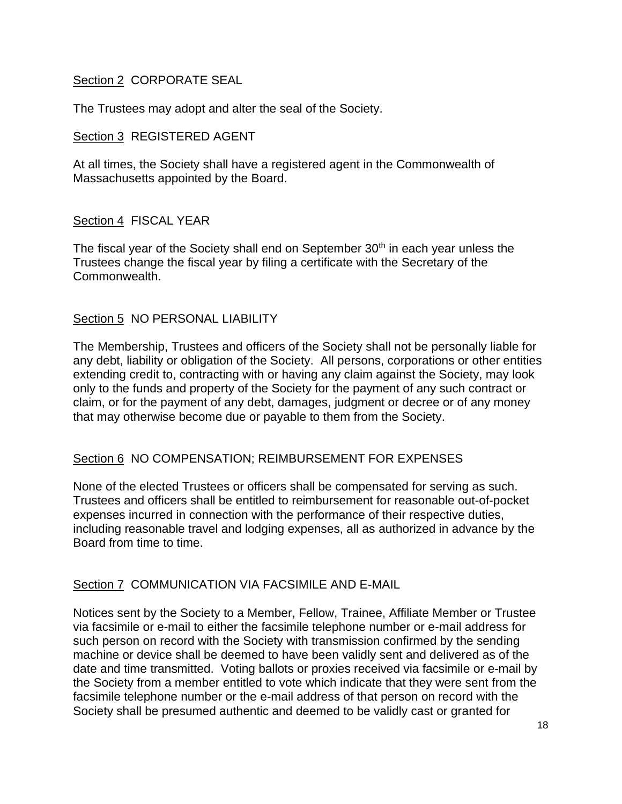### Section 2 CORPORATE SEAL

The Trustees may adopt and alter the seal of the Society.

### Section 3 REGISTERED AGENT

At all times, the Society shall have a registered agent in the Commonwealth of Massachusetts appointed by the Board.

### Section 4 FISCAL YEAR

The fiscal year of the Society shall end on September 30<sup>th</sup> in each year unless the Trustees change the fiscal year by filing a certificate with the Secretary of the Commonwealth.

# Section 5 NO PERSONAL LIABILITY

The Membership, Trustees and officers of the Society shall not be personally liable for any debt, liability or obligation of the Society. All persons, corporations or other entities extending credit to, contracting with or having any claim against the Society, may look only to the funds and property of the Society for the payment of any such contract or claim, or for the payment of any debt, damages, judgment or decree or of any money that may otherwise become due or payable to them from the Society.

# Section 6 NO COMPENSATION; REIMBURSEMENT FOR EXPENSES

None of the elected Trustees or officers shall be compensated for serving as such. Trustees and officers shall be entitled to reimbursement for reasonable out-of-pocket expenses incurred in connection with the performance of their respective duties, including reasonable travel and lodging expenses, all as authorized in advance by the Board from time to time.

### Section 7 COMMUNICATION VIA FACSIMILE AND E-MAIL

Notices sent by the Society to a Member, Fellow, Trainee, Affiliate Member or Trustee via facsimile or e-mail to either the facsimile telephone number or e-mail address for such person on record with the Society with transmission confirmed by the sending machine or device shall be deemed to have been validly sent and delivered as of the date and time transmitted. Voting ballots or proxies received via facsimile or e-mail by the Society from a member entitled to vote which indicate that they were sent from the facsimile telephone number or the e-mail address of that person on record with the Society shall be presumed authentic and deemed to be validly cast or granted for